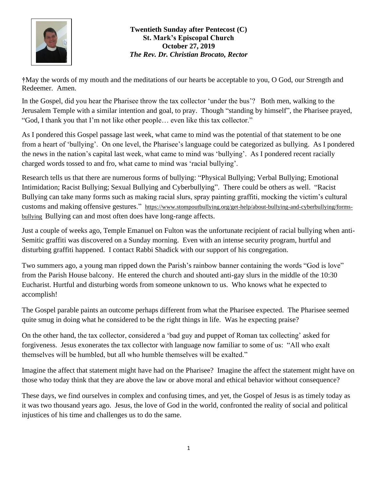

**†**May the words of my mouth and the meditations of our hearts be acceptable to you, O God, our Strength and Redeemer. Amen.

In the Gospel, did you hear the Pharisee throw the tax collector 'under the bus'? Both men, walking to the Jerusalem Temple with a similar intention and goal, to pray. Though "standing by himself", the Pharisee prayed, "God, I thank you that I'm not like other people… even like this tax collector."

As I pondered this Gospel passage last week, what came to mind was the potential of that statement to be one from a heart of 'bullying'. On one level, the Pharisee's language could be categorized as bullying. As I pondered the news in the nation's capital last week, what came to mind was 'bullying'. As I pondered recent racially charged words tossed to and fro, what came to mind was 'racial bullying'.

Research tells us that there are numerous forms of bullying: "Physical Bullying; Verbal Bullying; Emotional Intimidation; Racist Bullying; Sexual Bullying and Cyberbullying". There could be others as well. "Racist Bullying can take many forms such as making racial slurs, spray painting graffiti, mocking the victim's cultural customs and making offensive gestures." [https://www.stompoutbullying.org/get-help/about-bullying-and-cyberbullying/forms](https://www.stompoutbullying.org/get-help/about-bullying-and-cyberbullying/forms-bullying)[bullying](https://www.stompoutbullying.org/get-help/about-bullying-and-cyberbullying/forms-bullying) Bullying can and most often does have long-range affects.

Just a couple of weeks ago, Temple Emanuel on Fulton was the unfortunate recipient of racial bullying when anti-Semitic graffiti was discovered on a Sunday morning. Even with an intense security program, hurtful and disturbing graffiti happened. I contact Rabbi Shadick with our support of his congregation.

Two summers ago, a young man ripped down the Parish's rainbow banner containing the words "God is love" from the Parish House balcony. He entered the church and shouted anti-gay slurs in the middle of the 10:30 Eucharist. Hurtful and disturbing words from someone unknown to us. Who knows what he expected to accomplish!

The Gospel parable paints an outcome perhaps different from what the Pharisee expected. The Pharisee seemed quite smug in doing what he considered to be the right things in life. Was he expecting praise?

On the other hand, the tax collector, considered a 'bad guy and puppet of Roman tax collecting' asked for forgiveness. Jesus exonerates the tax collector with language now familiar to some of us: "All who exalt themselves will be humbled, but all who humble themselves will be exalted."

Imagine the affect that statement might have had on the Pharisee? Imagine the affect the statement might have on those who today think that they are above the law or above moral and ethical behavior without consequence?

These days, we find ourselves in complex and confusing times, and yet, the Gospel of Jesus is as timely today as it was two thousand years ago. Jesus, the love of God in the world, confronted the reality of social and political injustices of his time and challenges us to do the same.